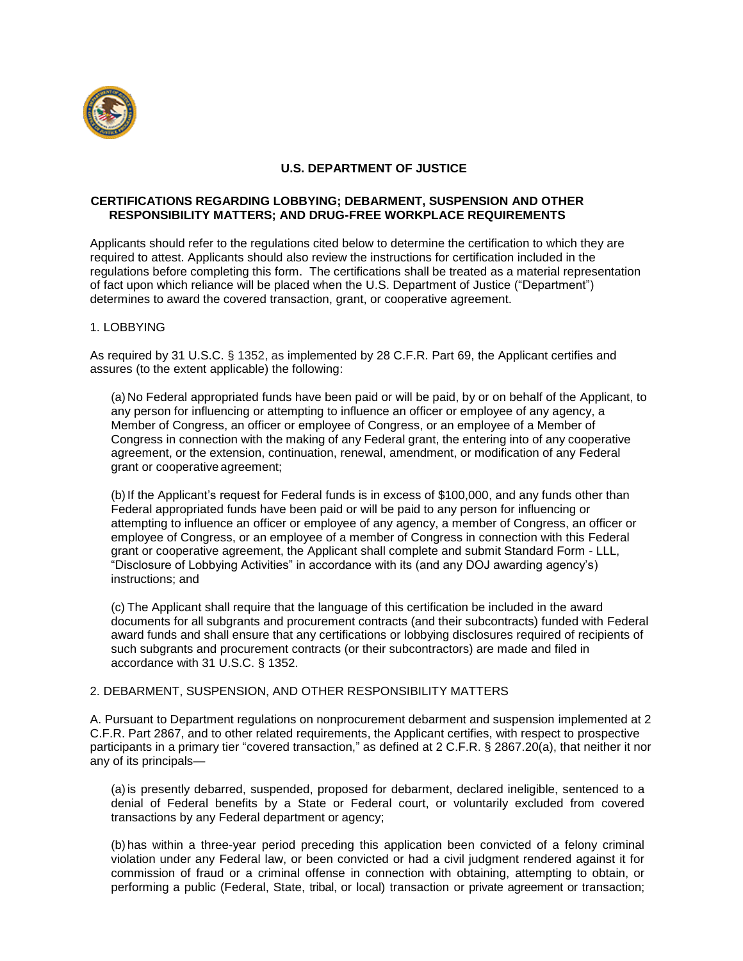

# **U.S. DEPARTMENT OF JUSTICE**

## **CERTIFICATIONS REGARDING LOBBYING; DEBARMENT, SUSPENSION AND OTHER RESPONSIBILITY MATTERS; AND DRUG-FREE WORKPLACE REQUIREMENTS**

Applicants should refer to the regulations cited below to determine the certification to which they are required to attest. Applicants should also review the instructions for certification included in the regulations before completing this form. The certifications shall be treated as a material representation of fact upon which reliance will be placed when the U.S. Department of Justice ("Department") determines to award the covered transaction, grant, or cooperative agreement.

# 1. LOBBYING

As required by 31 U.S.C. § 1352, as implemented by 28 C.F.R. Part 69, the Applicant certifies and assures (to the extent applicable) the following:

(a) No Federal appropriated funds have been paid or will be paid, by or on behalf of the Applicant, to any person for influencing or attempting to influence an officer or employee of any agency, a Member of Congress, an officer or employee of Congress, or an employee of a Member of Congress in connection with the making of any Federal grant, the entering into of any cooperative agreement, or the extension, continuation, renewal, amendment, or modification of any Federal grant or cooperative agreement;

(b) If the Applicant's request for Federal funds is in excess of \$100,000, and any funds other than Federal appropriated funds have been paid or will be paid to any person for influencing or attempting to influence an officer or employee of any agency, a member of Congress, an officer or employee of Congress, or an employee of a member of Congress in connection with this Federal grant or cooperative agreement, the Applicant shall complete and submit Standard Form - LLL, "Disclosure of Lobbying Activities" in accordance with its (and any DOJ awarding agency's) instructions; and

(c) The Applicant shall require that the language of this certification be included in the award documents for all subgrants and procurement contracts (and their subcontracts) funded with Federal award funds and shall ensure that any certifications or lobbying disclosures required of recipients of such subgrants and procurement contracts (or their subcontractors) are made and filed in accordance with 31 U.S.C. § 1352.

## 2. DEBARMENT, SUSPENSION, AND OTHER RESPONSIBILITY MATTERS

A. Pursuant to Department regulations on nonprocurement debarment and suspension implemented at 2 C.F.R. Part 2867, and to other related requirements, the Applicant certifies, with respect to prospective participants in a primary tier "covered transaction," as defined at 2 C.F.R. § 2867.20(a), that neither it nor any of its principals—

(a)is presently debarred, suspended, proposed for debarment, declared ineligible, sentenced to a denial of Federal benefits by a State or Federal court, or voluntarily excluded from covered transactions by any Federal department or agency;

(b) has within a three-year period preceding this application been convicted of a felony criminal violation under any Federal law, or been convicted or had a civil judgment rendered against it for commission of fraud or a criminal offense in connection with obtaining, attempting to obtain, or performing a public (Federal, State, tribal, or local) transaction or private agreement or transaction;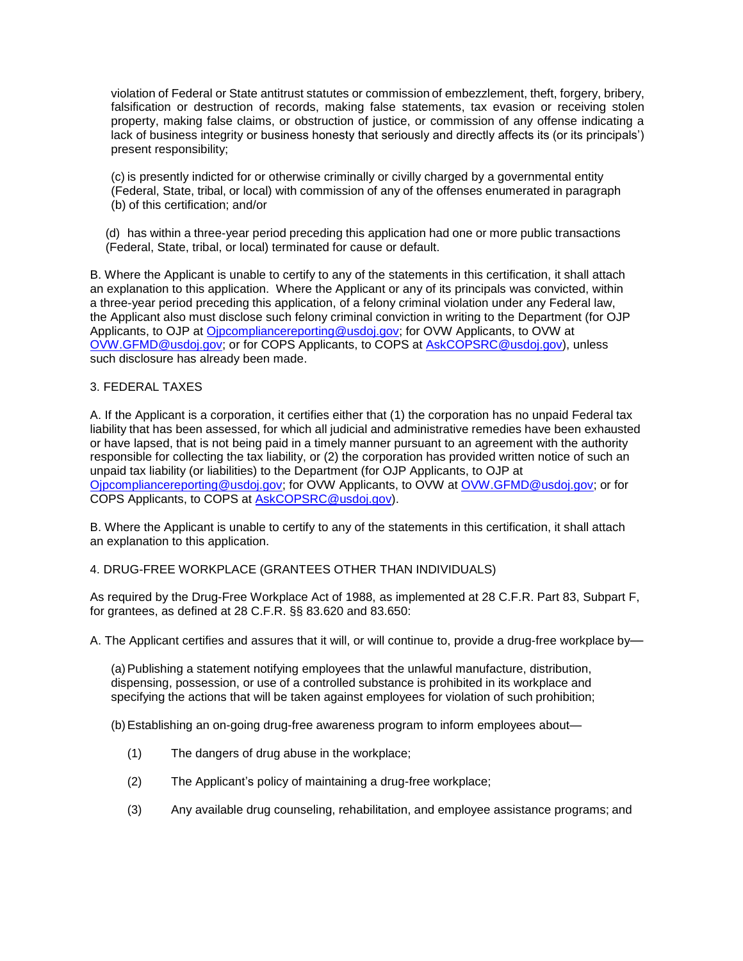violation of Federal or State antitrust statutes or commission of embezzlement, theft, forgery, bribery, falsification or destruction of records, making false statements, tax evasion or receiving stolen property, making false claims, or obstruction of justice, or commission of any offense indicating a lack of business integrity or business honesty that seriously and directly affects its (or its principals') present responsibility;

(c) is presently indicted for or otherwise criminally or civilly charged by a governmental entity (Federal, State, tribal, or local) with commission of any of the offenses enumerated in paragraph (b) of this certification; and/or

(d) has within a three-year period preceding this application had one or more public transactions (Federal, State, tribal, or local) terminated for cause or default.

B. Where the Applicant is unable to certify to any of the statements in this certification, it shall attach an explanation to this application. Where the Applicant or any of its principals was convicted, within a three-year period preceding this application, of a felony criminal violation under any Federal law, the Applicant also must disclose such felony criminal conviction in writing to the Department (for OJP Applicants, to OJP at [Ojpcompliancereporting@usdoj.gov;](mailto:Ojpcompliancereporting@usdoj.gov) for OVW Applicants, to OVW at [OVW.GFMD@usdoj.gov;](mailto:OVW.GFMD@usdoj.gov) or for COPS Applicants, to COPS at [AskCOPSRC@usdoj.gov\)](mailto:AskCOPSRC@usdoj.gov), unless such disclosure has already been made.

## 3. FEDERAL TAXES

A. If the Applicant is a corporation, it certifies either that (1) the corporation has no unpaid Federal tax liability that has been assessed, for which all judicial and administrative remedies have been exhausted or have lapsed, that is not being paid in a timely manner pursuant to an agreement with the authority responsible for collecting the tax liability, or (2) the corporation has provided written notice of such an unpaid tax liability (or liabilities) to the Department (for OJP Applicants, to OJP at [Ojpcompliancereporting@usdoj.gov;](mailto:Ojpcompliancereporting@usdoj.gov) for OVW Applicants, to OVW at [OVW.GFMD@usdoj.gov;](mailto:OVW.GFMD@usdoj.gov) or for COPS Applicants, to COPS at [AskCOPSRC@usdoj.gov\)](mailto:AskCOPSRC@usdoj.gov).

B. Where the Applicant is unable to certify to any of the statements in this certification, it shall attach an explanation to this application.

4. DRUG-FREE WORKPLACE (GRANTEES OTHER THAN INDIVIDUALS)

As required by the Drug-Free Workplace Act of 1988, as implemented at 28 C.F.R. Part 83, Subpart F, for grantees, as defined at 28 C.F.R. §§ 83.620 and 83.650:

A. The Applicant certifies and assures that it will, or will continue to, provide a drug-free workplace by—

(a)Publishing a statement notifying employees that the unlawful manufacture, distribution, dispensing, possession, or use of a controlled substance is prohibited in its workplace and specifying the actions that will be taken against employees for violation of such prohibition;

(b)Establishing an on-going drug-free awareness program to inform employees about—

- (1) The dangers of drug abuse in the workplace;
- (2) The Applicant's policy of maintaining a drug-free workplace;
- (3) Any available drug counseling, rehabilitation, and employee assistance programs; and